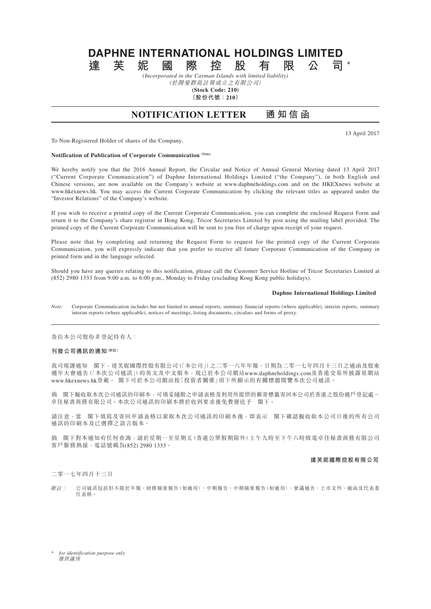# **DAPHNE INTERNATIONAL HOLDINGS LIMITED 達芙妮國際控股有限公司 \***

*(Incorporated in the Cayman Islands with limited liability)*

(於開曼群島註冊成立之有限公司) **(Stock Code: 210)**

**(股份代號:210)**

# **NOTIFICATION LETTER 通 知 信 函**

To Non-Registered Holder of shares of the Company,

## **Notification of Publication of Corporate Communication (Note)**

We hereby notify you that the 2016 Annual Report, the Circular and Notice of Annual General Meeting dated 13 April 2017 ("Current Corporate Communication") of Daphne International Holdings Limited ("the Company"), in both English and Chinese versions, are now available on the Company's website at www.daphneholdings.com and on the HKEXnews website at www.hkexnews.hk. You may access the Current Corporate Communication by clicking the relevant titles as appeared under the "Investor Relations" of the Company's website.

If you wish to receive a printed copy of the Current Corporate Communication, you can complete the enclosed Request Form and return it to the Company's share registrar in Hong Kong, Tricor Secretaries Limited by post using the mailing label provided. The printed copy of the Current Corporate Communication will be sent to you free of charge upon receipt of your request.

Please note that by completing and returning the Request Form to request for the printed copy of the Current Corporate Communication, you will expressly indicate that you prefer to receive all future Corporate Communication of the Company in printed form and in the language selected.

Should you have any queries relating to this notification, please call the Customer Service Hotline of Tricor Secretaries Limited at (852) 2980 1333 from 9:00 a.m. to 6:00 p.m., Monday to Friday (excluding Kong Kong public holidays).

#### **Daphne International Holdings Limited**

13 April 2017

*Note:* Corporate Communication includes but not limited to annual reports, summary financial reports (where applicable), interim reports, summary interim reports (where applicable), notices of meetings, listing documents, circulars and forms of proxy.

各位本公司股份非登記持有人:

## **刊發公司通訊的通知(附註)**

我司現謹通知 閣下,達芙妮國際控股有限公司(「本公司」)之二零一六年年報,日期為二零一七年四月十三日之通函及股東 週年大會通告(「本次公司通訊」)的英文及中文版本,現已於本公司網站www.daphneholdings.com及香港交易所披露易網站 www.hkexnews.hk登載。 閣下可於本公司網站按「投資者關係」項下所顯示的有關標題閱覽本次公司通訊。

倘 閣下擬收取本次公司通訊的印刷本,可填妥隨附之申請表格及利用所提供的郵寄標籤寄回本公司於香港之股份過戶登記處- 卓佳秘書商務有限公司。本次公司通訊的印刷本將於收到要求後免費發送予 閣下。

請注意,當 閣下填寫及寄回申請表格以索取本次公司通訊的印刷本後,即表示 閣下確認擬收取本公司日後的所有公司 通訊的印刷本及已選擇之語言版本。

倘 閣下對本通知有任何查詢,請於星期一至星期五(香港公眾假期除外)上午九時至下午六時致電卓佳秘書商務有限公司 客戶服務熱線,電話號碼為(852) 2980 1333。

#### **達芙妮國際控股有限公司**

二零一七年四月十三日

附註: 公司通訊包括但不限於年報、財務摘要報告(如適用)、中期報告、中期摘要報告(如適用)、會議通告、上市文件、通函及代表委 任表格。

\* *for identification purpose only* 僅供識別